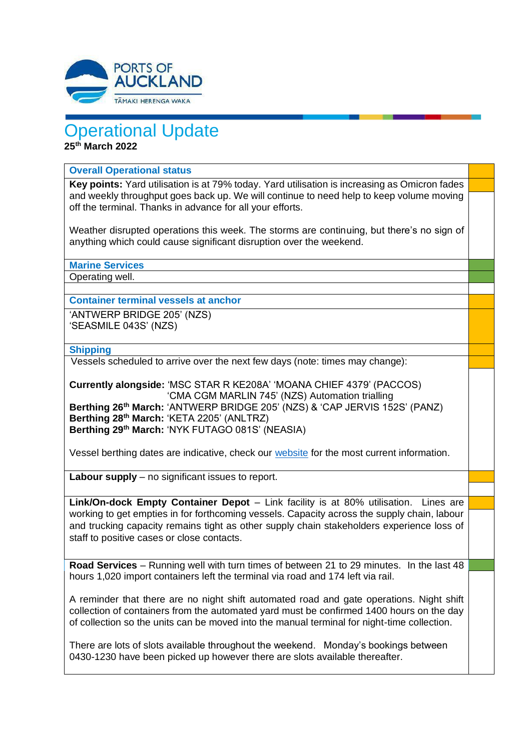

# Operational Update

**25th March 2022**

### **Overall Operational status**

**Key points:** Yard utilisation is at 79% today. Yard utilisation is increasing as Omicron fades and weekly throughput goes back up. We will continue to need help to keep volume moving off the terminal. Thanks in advance for all your efforts.

Weather disrupted operations this week. The storms are continuing, but there's no sign of anything which could cause significant disruption over the weekend.

**Marine Services**

Operating well.

#### **Container terminal vessels at anchor**

'ANTWERP BRIDGE 205' (NZS) 'SEASMILE 043S' (NZS)

#### **Shipping**

Vessels scheduled to arrive over the next few days (note: times may change):

**Currently alongside:** 'MSC STAR R KE208A' 'MOANA CHIEF 4379' (PACCOS) 'CMA CGM MARLIN 745' (NZS) Automation trialling **Berthing 26th March:** 'ANTWERP BRIDGE 205' (NZS) & 'CAP JERVIS 152S' (PANZ) **Berthing 28th March:** 'KETA 2205' (ANLTRZ) **Berthing 29th March:** 'NYK FUTAGO 081S' (NEASIA)

Vessel berthing dates are indicative, check our [website](https://apc01.safelinks.protection.outlook.com/?url=http%3A%2F%2Fwww.poal.co.nz%2F&data=04%7C01%7CBallM%40poal.co.nz%7Cf81681dfd77a4707771f08d99e6ca75c%7C2b23a40942664f41b89e60e72a40ef7f%7C0%7C0%7C637715011762958127%7CUnknown%7CTWFpbGZsb3d8eyJWIjoiMC4wLjAwMDAiLCJQIjoiV2luMzIiLCJBTiI6Ik1haWwiLCJXVCI6Mn0%3D%7C1000&sdata=Fha6YVp7kzv4EzxbVyWrJ6MwaPf%2FJYKhrqKzj7tEdT4%3D&reserved=0) for the most current information.

**Labour supply** – no significant issues to report.

**Link/On-dock Empty Container Depot** – Link facility is at 80% utilisation. Lines are working to get empties in for forthcoming vessels. Capacity across the supply chain, labour and trucking capacity remains tight as other supply chain stakeholders experience loss of staff to positive cases or close contacts.

**Road Services** – Running well with turn times of between 21 to 29 minutes. In the last 48 hours 1,020 import containers left the terminal via road and 174 left via rail.

A reminder that there are no night shift automated road and gate operations. Night shift collection of containers from the automated yard must be confirmed 1400 hours on the day of collection so the units can be moved into the manual terminal for night-time collection.

There are lots of slots available throughout the weekend. Monday's bookings between 0430-1230 have been picked up however there are slots available thereafter.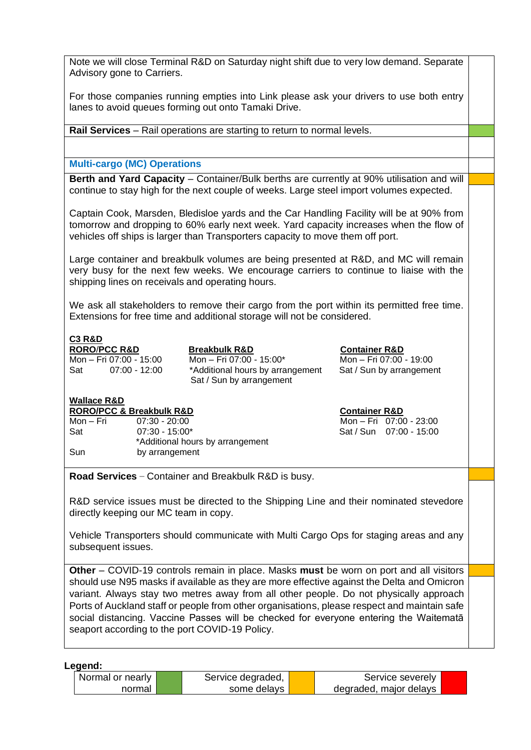Note we will close Terminal R&D on Saturday night shift due to very low demand. Separate Advisory gone to Carriers.

For those companies running empties into Link please ask your drivers to use both entry lanes to avoid queues forming out onto Tamaki Drive.

**Rail Services** – Rail operations are starting to return to normal levels.

## **Multi-cargo (MC) Operations**

**Berth and Yard Capacity** – Container/Bulk berths are currently at 90% utilisation and will continue to stay high for the next couple of weeks. Large steel import volumes expected.

Captain Cook, Marsden, Bledisloe yards and the Car Handling Facility will be at 90% from tomorrow and dropping to 60% early next week. Yard capacity increases when the flow of vehicles off ships is larger than Transporters capacity to move them off port.

Large container and breakbulk volumes are being presented at R&D, and MC will remain very busy for the next few weeks. We encourage carriers to continue to liaise with the shipping lines on receivals and operating hours.

We ask all stakeholders to remove their cargo from the port within its permitted free time. Extensions for free time and additional storage will not be considered.

**C3 R&D**

**RORO/PCC R&D Breakbulk R&D Container R&D**<br>
Mon – Fri 07:00 - 15:00 Mon – Fri 07:00 - 15:00\* Mon – Fri 07:00 - 19:00  $\overline{Mon - Fri 07:00 - 15:00}$  Mon – Fri 07:00 - 15:00\* Sat 07:00 - 12:00 \*Additional hours by arrangement Sat / Sun by arrangement Sat / Sun by arrangement

**Wallace R&D**

|           | <b>RORO/PCC &amp; Breakbulk R&amp;D</b> | <b>Container R&amp;D</b> |                           |  |
|-----------|-----------------------------------------|--------------------------|---------------------------|--|
| Mon – Fri | 07:30 - 20:00                           |                          | Mon - Fri $07:00 - 23:00$ |  |
| Sat       | $07:30 - 15:00*$                        |                          | Sat / Sun 07:00 - 15:00   |  |
|           | *Additional hours by arrangement        |                          |                           |  |
| Sun       | by arrangement                          |                          |                           |  |

**Road Services** – Container and Breakbulk R&D is busy.

R&D service issues must be directed to the Shipping Line and their nominated stevedore directly keeping our MC team in copy.

Vehicle Transporters should communicate with Multi Cargo Ops for staging areas and any subsequent issues.

**Other** – COVID-19 controls remain in place. Masks **must** be worn on port and all visitors should use N95 masks if available as they are more effective against the Delta and Omicron variant. Always stay two metres away from all other people. Do not physically approach Ports of Auckland staff or people from other organisations, please respect and maintain safe social distancing. Vaccine Passes will be checked for everyone entering the Waitematā seaport according to the port COVID-19 Policy.

**Legend:**

| Normal or nearly |  | Service degraded, |  | Service severely       |  |  |
|------------------|--|-------------------|--|------------------------|--|--|
| normal           |  | some delays       |  | degraded, major delays |  |  |